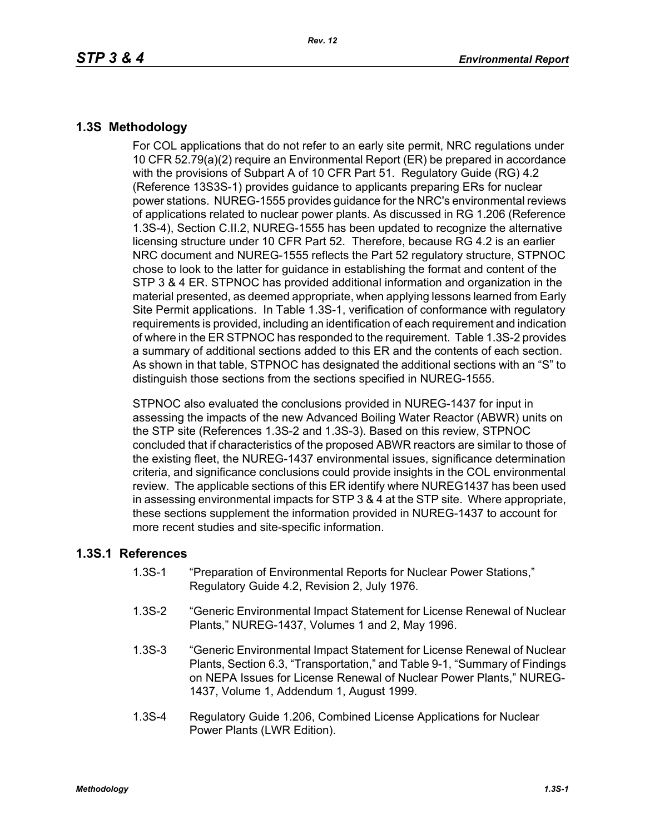## **1.3S Methodology**

For COL applications that do not refer to an early site permit, NRC regulations under 10 CFR 52.79(a)(2) require an Environmental Report (ER) be prepared in accordance with the provisions of Subpart A of 10 CFR Part 51. Regulatory Guide (RG) 4.2 (Reference 13S3S-1) provides guidance to applicants preparing ERs for nuclear power stations. NUREG-1555 provides guidance for the NRC's environmental reviews of applications related to nuclear power plants. As discussed in RG 1.206 (Reference 1.3S-4), Section C.II.2, NUREG-1555 has been updated to recognize the alternative licensing structure under 10 CFR Part 52. Therefore, because RG 4.2 is an earlier NRC document and NUREG-1555 reflects the Part 52 regulatory structure, STPNOC chose to look to the latter for guidance in establishing the format and content of the STP 3 & 4 ER. STPNOC has provided additional information and organization in the material presented, as deemed appropriate, when applying lessons learned from Early Site Permit applications. In Table 1.3S-1, verification of conformance with regulatory requirements is provided, including an identification of each requirement and indication of where in the ER STPNOC has responded to the requirement. Table 1.3S-2 provides a summary of additional sections added to this ER and the contents of each section. As shown in that table, STPNOC has designated the additional sections with an "S" to distinguish those sections from the sections specified in NUREG-1555.

STPNOC also evaluated the conclusions provided in NUREG-1437 for input in assessing the impacts of the new Advanced Boiling Water Reactor (ABWR) units on the STP site (References 1.3S-2 and 1.3S-3). Based on this review, STPNOC concluded that if characteristics of the proposed ABWR reactors are similar to those of the existing fleet, the NUREG-1437 environmental issues, significance determination criteria, and significance conclusions could provide insights in the COL environmental review. The applicable sections of this ER identify where NUREG1437 has been used in assessing environmental impacts for STP 3 & 4 at the STP site. Where appropriate, these sections supplement the information provided in NUREG-1437 to account for more recent studies and site-specific information.

## **1.3S.1 References**

- 1.3S-1 "Preparation of Environmental Reports for Nuclear Power Stations," Regulatory Guide 4.2, Revision 2, July 1976.
- 1.3S-2 "Generic Environmental Impact Statement for License Renewal of Nuclear Plants," NUREG-1437, Volumes 1 and 2, May 1996.
- 1.3S-3 "Generic Environmental Impact Statement for License Renewal of Nuclear Plants, Section 6.3, "Transportation," and Table 9-1, "Summary of Findings on NEPA Issues for License Renewal of Nuclear Power Plants," NUREG-1437, Volume 1, Addendum 1, August 1999.
- 1.3S-4 Regulatory Guide 1.206, Combined License Applications for Nuclear Power Plants (LWR Edition).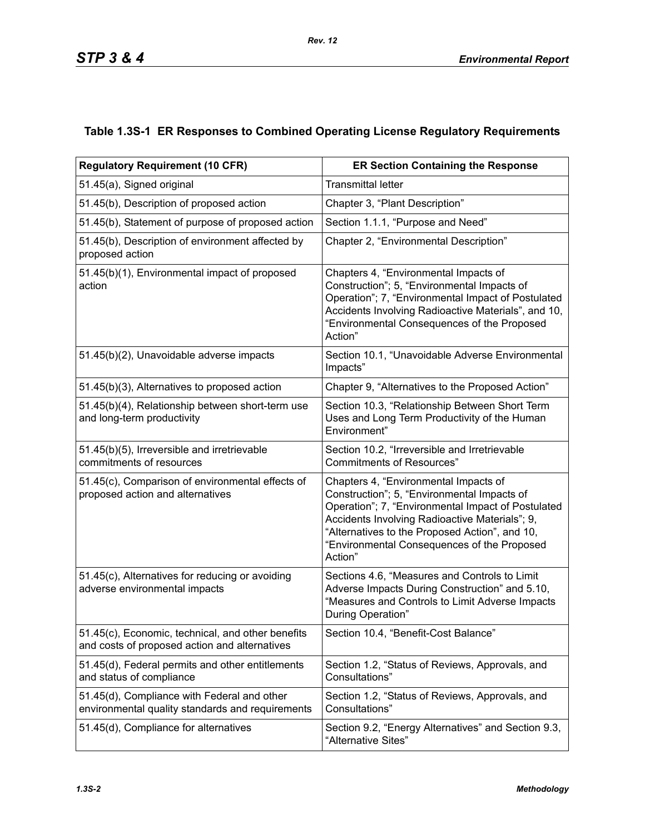## **Table 1.3S-1 ER Responses to Combined Operating License Regulatory Requirements**

| <b>Regulatory Requirement (10 CFR)</b>                                                             | <b>ER Section Containing the Response</b>                                                                                                                                                                                                                                                                |  |  |  |
|----------------------------------------------------------------------------------------------------|----------------------------------------------------------------------------------------------------------------------------------------------------------------------------------------------------------------------------------------------------------------------------------------------------------|--|--|--|
| 51.45(a), Signed original                                                                          | <b>Transmittal letter</b>                                                                                                                                                                                                                                                                                |  |  |  |
| 51.45(b), Description of proposed action                                                           | Chapter 3, "Plant Description"                                                                                                                                                                                                                                                                           |  |  |  |
| 51.45(b), Statement of purpose of proposed action                                                  | Section 1.1.1, "Purpose and Need"                                                                                                                                                                                                                                                                        |  |  |  |
| 51.45(b), Description of environment affected by<br>proposed action                                | Chapter 2, "Environmental Description"                                                                                                                                                                                                                                                                   |  |  |  |
| 51.45(b)(1), Environmental impact of proposed<br>action                                            | Chapters 4, "Environmental Impacts of<br>Construction"; 5, "Environmental Impacts of<br>Operation"; 7, "Environmental Impact of Postulated<br>Accidents Involving Radioactive Materials", and 10,<br>"Environmental Consequences of the Proposed<br>Action"                                              |  |  |  |
| 51.45(b)(2), Unavoidable adverse impacts                                                           | Section 10.1, "Unavoidable Adverse Environmental<br>Impacts"                                                                                                                                                                                                                                             |  |  |  |
| 51.45(b)(3), Alternatives to proposed action                                                       | Chapter 9, "Alternatives to the Proposed Action"                                                                                                                                                                                                                                                         |  |  |  |
| 51.45(b)(4), Relationship between short-term use<br>and long-term productivity                     | Section 10.3, "Relationship Between Short Term<br>Uses and Long Term Productivity of the Human<br>Environment"                                                                                                                                                                                           |  |  |  |
| 51.45(b)(5), Irreversible and irretrievable<br>commitments of resources                            | Section 10.2, "Irreversible and Irretrievable<br><b>Commitments of Resources"</b>                                                                                                                                                                                                                        |  |  |  |
| 51.45(c), Comparison of environmental effects of<br>proposed action and alternatives               | Chapters 4, "Environmental Impacts of<br>Construction"; 5, "Environmental Impacts of<br>Operation"; 7, "Environmental Impact of Postulated<br>Accidents Involving Radioactive Materials"; 9,<br>"Alternatives to the Proposed Action", and 10,<br>"Environmental Consequences of the Proposed<br>Action" |  |  |  |
| 51.45(c), Alternatives for reducing or avoiding<br>adverse environmental impacts                   | Sections 4.6, "Measures and Controls to Limit<br>Adverse Impacts During Construction" and 5.10,<br>"Measures and Controls to Limit Adverse Impacts<br>During Operation"                                                                                                                                  |  |  |  |
| 51.45(c), Economic, technical, and other benefits<br>and costs of proposed action and alternatives | Section 10.4, "Benefit-Cost Balance'                                                                                                                                                                                                                                                                     |  |  |  |
| 51.45(d), Federal permits and other entitlements<br>and status of compliance                       | Section 1.2, "Status of Reviews, Approvals, and<br>Consultations"                                                                                                                                                                                                                                        |  |  |  |
| 51.45(d), Compliance with Federal and other<br>environmental quality standards and requirements    | Section 1.2, "Status of Reviews, Approvals, and<br>Consultations"                                                                                                                                                                                                                                        |  |  |  |
| 51.45(d), Compliance for alternatives                                                              | Section 9.2, "Energy Alternatives" and Section 9.3,<br>"Alternative Sites"                                                                                                                                                                                                                               |  |  |  |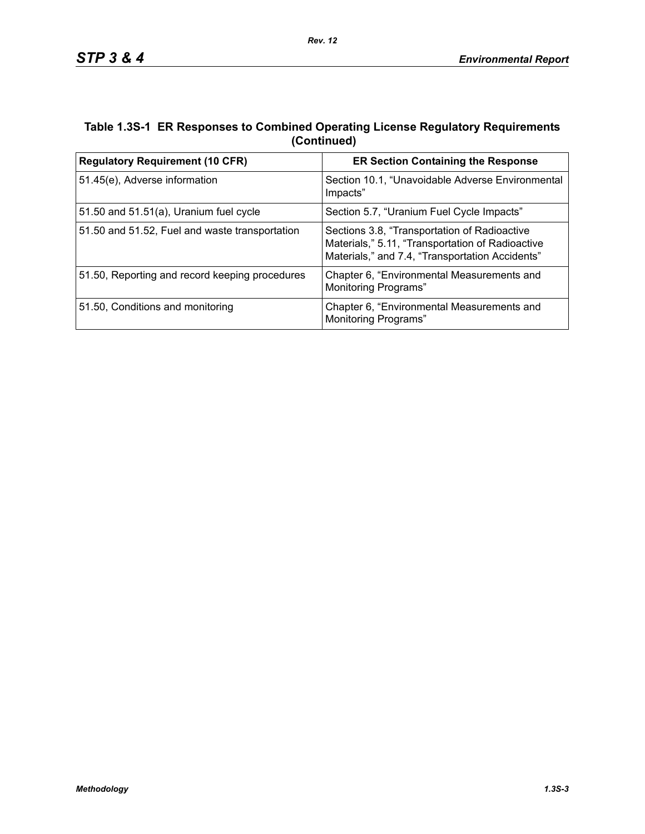## **Table 1.3S-1 ER Responses to Combined Operating License Regulatory Requirements (Continued)**

*Rev. 12*

| <b>Regulatory Requirement (10 CFR)</b>         | <b>ER Section Containing the Response</b>                                                                                                           |  |  |
|------------------------------------------------|-----------------------------------------------------------------------------------------------------------------------------------------------------|--|--|
| 51.45(e), Adverse information                  | Section 10.1, "Unavoidable Adverse Environmental<br>Impacts"                                                                                        |  |  |
| 51.50 and $51.51(a)$ , Uranium fuel cycle      | Section 5.7, "Uranium Fuel Cycle Impacts"                                                                                                           |  |  |
| 51.50 and 51.52, Fuel and waste transportation | Sections 3.8, "Transportation of Radioactive<br>Materials," 5.11, "Transportation of Radioactive<br>Materials," and 7.4, "Transportation Accidents" |  |  |
| 51.50, Reporting and record keeping procedures | Chapter 6, "Environmental Measurements and<br>Monitoring Programs"                                                                                  |  |  |
| 51.50, Conditions and monitoring               | Chapter 6, "Environmental Measurements and<br>Monitoring Programs"                                                                                  |  |  |